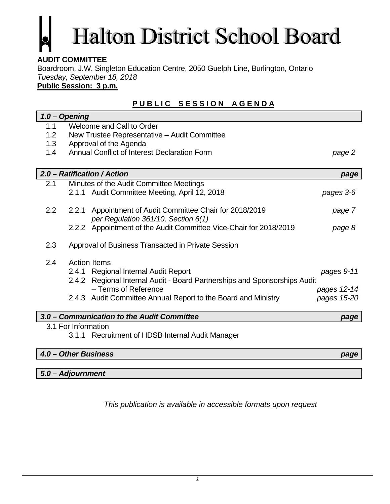# Halton District School Board

# **AUDIT COMMITTEE**

Boardroom, J.W. Singleton Education Centre, 2050 Guelph Line, Burlington, Ontario *Tuesday, September 18, 2018* 

**Public Session: 3 p.m.**

# **PUBLIC SESSION AGENDA**

|                      | $1.0 - Oppening$                             |                                                                           |             |  |
|----------------------|----------------------------------------------|---------------------------------------------------------------------------|-------------|--|
| 1.1                  | Welcome and Call to Order                    |                                                                           |             |  |
| 1.2 <sub>2</sub>     |                                              | New Trustee Representative - Audit Committee                              |             |  |
| 1.3                  | Approval of the Agenda                       |                                                                           |             |  |
| 1.4                  | Annual Conflict of Interest Declaration Form |                                                                           | page 2      |  |
|                      |                                              |                                                                           |             |  |
|                      |                                              | 2.0 - Ratification / Action                                               | page        |  |
| 2.1                  |                                              | Minutes of the Audit Committee Meetings                                   |             |  |
|                      |                                              | 2.1.1 Audit Committee Meeting, April 12, 2018                             | pages 3-6   |  |
| 2.2                  | 2.2.1                                        | Appointment of Audit Committee Chair for 2018/2019                        | page 7      |  |
|                      |                                              | per Regulation 361/10, Section 6(1)                                       |             |  |
|                      |                                              | 2.2.2 Appointment of the Audit Committee Vice-Chair for 2018/2019         | page 8      |  |
| 2.3                  |                                              | Approval of Business Transacted in Private Session                        |             |  |
| 2.4                  | <b>Action Items</b>                          |                                                                           |             |  |
|                      |                                              | 2.4.1 Regional Internal Audit Report                                      | pages 9-11  |  |
|                      |                                              | 2.4.2 Regional Internal Audit - Board Partnerships and Sponsorships Audit |             |  |
|                      |                                              | - Terms of Reference                                                      | pages 12-14 |  |
|                      |                                              | 2.4.3 Audit Committee Annual Report to the Board and Ministry             | pages 15-20 |  |
|                      |                                              | 3.0 – Communication to the Audit Committee                                | page        |  |
|                      | 3.1 For Information                          |                                                                           |             |  |
|                      |                                              | 3.1.1 Recruitment of HDSB Internal Audit Manager                          |             |  |
| 4.0 - Other Business |                                              |                                                                           | page        |  |
|                      |                                              |                                                                           |             |  |
|                      | 5.0 - Adjournment                            |                                                                           |             |  |

*This publication is available in accessible formats upon request*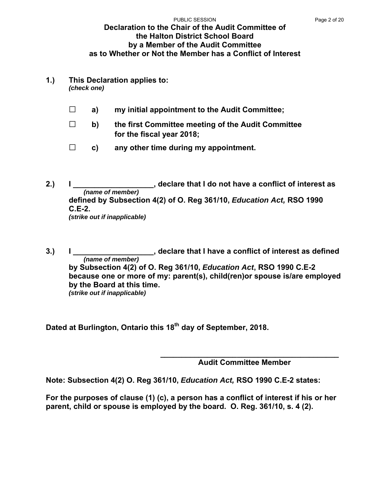#### **Declaration to the Chair of the Audit Committee of the Halton District School Board by a Member of the Audit Committee as to Whether or Not the Member has a Conflict of Interest**  PUBLIC SESSION PAGE 2 of 20

**1.) This Declaration applies to:** 

*(check one)* 

- **□ a) my initial appointment to the Audit Committee;**
- **□ b) the first Committee meeting of the Audit Committee for the fiscal year 2018;**
- **□ c) any other time during my appointment.**
- **2.) I \_\_\_\_\_\_\_\_\_\_\_\_\_\_\_\_\_\_\_, declare that I do not have a conflict of interest as** *(name of member)*  **defined by Subsection 4(2) of O. Reg 361/10,** *Education Act,* **RSO 1990 C.E-2.**  *(strike out if inapplicable)*
- **3.) I \_\_\_\_\_\_\_\_\_\_\_\_\_\_\_\_\_\_\_, declare that I have a conflict of interest as defined** *(name of member)*  **by Subsection 4(2) of O. Reg 361/10,** *Education Act***, RSO 1990 C.E-2 because one or more of my: parent(s), child(ren)or spouse is/are employed by the Board at this time.**  *(strike out if inapplicable)*

Dated at Burlington, Ontario this 18<sup>th</sup> day of September, 2018.

 **\_\_\_\_\_\_\_\_\_\_\_\_\_\_\_\_\_\_\_\_\_\_\_\_\_\_\_\_\_\_\_\_\_\_\_\_\_\_\_\_\_\_ Audit Committee Member** 

**Note: Subsection 4(2) O. Reg 361/10,** *Education Act,* **RSO 1990 C.E-2 states:** 

**For the purposes of clause (1) (c), a person has a conflict of interest if his or her parent, child or spouse is employed by the board. O. Reg. 361/10, s. 4 (2).**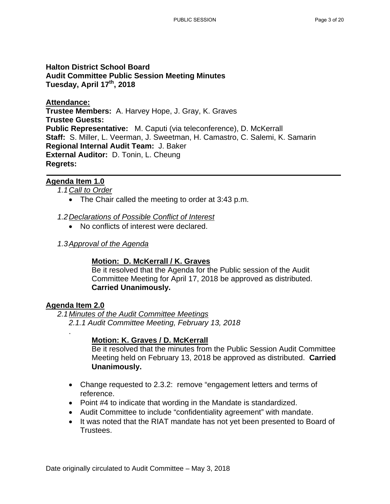#### **Halton District School Board Audit Committee Public Session Meeting Minutes Tuesday, April 17th, 2018**

**Attendance: Trustee Members:** A. Harvey Hope, J. Gray, K. Graves **Trustee Guests: Public Representative:** M. Caputi (via teleconference), D. McKerrall **Staff:** S. Miller, L. Veerman, J. Sweetman, H. Camastro, C. Salemi, K. Samarin **Regional Internal Audit Team:** J. Baker **External Auditor:** D. Tonin, L. Cheung **Regrets:**

#### **Agenda Item 1.0**

*1.1 Call to Order* 

- The Chair called the meeting to order at 3:43 p.m.
- *1.2 Declarations of Possible Conflict of Interest* 
	- No conflicts of interest were declared.
- *1.3 Approval of the Agenda*

#### **Motion: D. McKerrall / K. Graves**

Be it resolved that the Agenda for the Public session of the Audit Committee Meeting for April 17, 2018 be approved as distributed. **Carried Unanimously.** 

#### **Agenda Item 2.0**

.

*2.1 Minutes of the Audit Committee Meetings 2.1.1 Audit Committee Meeting, February 13, 2018* 

#### **Motion: K. Graves / D. McKerrall**

Be it resolved that the minutes from the Public Session Audit Committee Meeting held on February 13, 2018 be approved as distributed. **Carried Unanimously.** 

- Change requested to 2.3.2: remove "engagement letters and terms of reference.
- Point #4 to indicate that wording in the Mandate is standardized.
- Audit Committee to include "confidentiality agreement" with mandate.
- It was noted that the RIAT mandate has not yet been presented to Board of Trustees.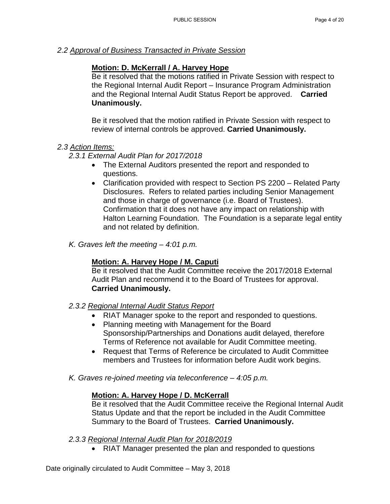*2.2 Approval of Business Transacted in Private Session* 

#### **Motion: D. McKerrall / A. Harvey Hope**

Be it resolved that the motions ratified in Private Session with respect to the Regional Internal Audit Report – Insurance Program Administration and the Regional Internal Audit Status Report be approved. **Carried Unanimously.** 

Be it resolved that the motion ratified in Private Session with respect to review of internal controls be approved. **Carried Unanimously.** 

#### *2.3 Action Items:*

*2.3.1 External Audit Plan for 2017/2018* 

- The External Auditors presented the report and responded to questions.
- Clarification provided with respect to Section PS 2200 Related Party Disclosures. Refers to related parties including Senior Management and those in charge of governance (i.e. Board of Trustees). Confirmation that it does not have any impact on relationship with Halton Learning Foundation. The Foundation is a separate legal entity and not related by definition.
- *K. Graves left the meeting 4:01 p.m.*

#### **Motion: A. Harvey Hope / M. Caputi**

Be it resolved that the Audit Committee receive the 2017/2018 External Audit Plan and recommend it to the Board of Trustees for approval. **Carried Unanimously.** 

- *2.3.2 Regional Internal Audit Status Report* 
	- RIAT Manager spoke to the report and responded to questions.
	- Planning meeting with Management for the Board Sponsorship/Partnerships and Donations audit delayed, therefore Terms of Reference not available for Audit Committee meeting.
	- Request that Terms of Reference be circulated to Audit Committee members and Trustees for information before Audit work begins.
- *K. Graves re-joined meeting via teleconference 4:05 p.m.*

#### **Motion: A. Harvey Hope / D. McKerrall**

Be it resolved that the Audit Committee receive the Regional Internal Audit Status Update and that the report be included in the Audit Committee Summary to the Board of Trustees. **Carried Unanimously.** 

- *2.3.3 Regional Internal Audit Plan for 2018/2019* 
	- RIAT Manager presented the plan and responded to questions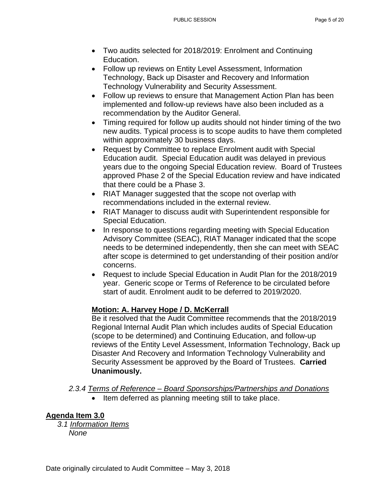- Two audits selected for 2018/2019: Enrolment and Continuing Education.
- Follow up reviews on Entity Level Assessment, Information Technology, Back up Disaster and Recovery and Information Technology Vulnerability and Security Assessment.
- Follow up reviews to ensure that Management Action Plan has been implemented and follow-up reviews have also been included as a recommendation by the Auditor General.
- Timing required for follow up audits should not hinder timing of the two new audits. Typical process is to scope audits to have them completed within approximately 30 business days.
- Request by Committee to replace Enrolment audit with Special Education audit. Special Education audit was delayed in previous years due to the ongoing Special Education review. Board of Trustees approved Phase 2 of the Special Education review and have indicated that there could be a Phase 3.
- RIAT Manager suggested that the scope not overlap with recommendations included in the external review.
- RIAT Manager to discuss audit with Superintendent responsible for Special Education.
- In response to questions regarding meeting with Special Education Advisory Committee (SEAC), RIAT Manager indicated that the scope needs to be determined independently, then she can meet with SEAC after scope is determined to get understanding of their position and/or concerns.
- Request to include Special Education in Audit Plan for the 2018/2019 year. Generic scope or Terms of Reference to be circulated before start of audit. Enrolment audit to be deferred to 2019/2020.

## **Motion: A. Harvey Hope / D. McKerrall**

Be it resolved that the Audit Committee recommends that the 2018/2019 Regional Internal Audit Plan which includes audits of Special Education (scope to be determined) and Continuing Education, and follow-up reviews of the Entity Level Assessment, Information Technology, Back up Disaster And Recovery and Information Technology Vulnerability and Security Assessment be approved by the Board of Trustees. **Carried Unanimously.** 

- *2.3.4 Terms of Reference Board Sponsorships/Partnerships and Donations* 
	- Item deferred as planning meeting still to take place.

# **Agenda Item 3.0**

*3.1 Information Items None*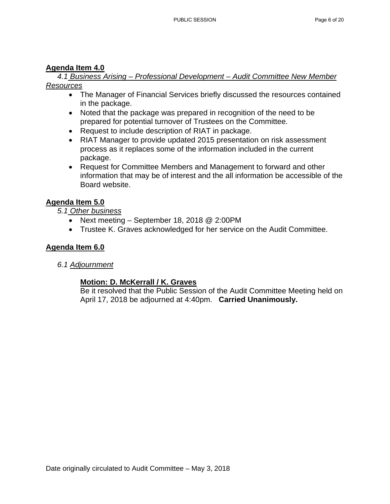#### **Agenda Item 4.0**

*4.1 Business Arising – Professional Development – Audit Committee New Member Resources* 

- The Manager of Financial Services briefly discussed the resources contained in the package.
- Noted that the package was prepared in recognition of the need to be prepared for potential turnover of Trustees on the Committee.
- Request to include description of RIAT in package.
- RIAT Manager to provide updated 2015 presentation on risk assessment process as it replaces some of the information included in the current package.
- Request for Committee Members and Management to forward and other information that may be of interest and the all information be accessible of the Board website.

#### **Agenda Item 5.0**

*5.1 Other business* 

- Next meeting September 18, 2018 @ 2:00PM
- Trustee K. Graves acknowledged for her service on the Audit Committee.

#### **Agenda Item 6.0**

*6.1 Adjournment* 

#### **Motion: D. McKerrall / K. Graves**

Be it resolved that the Public Session of the Audit Committee Meeting held on April 17, 2018 be adjourned at 4:40pm. **Carried Unanimously.**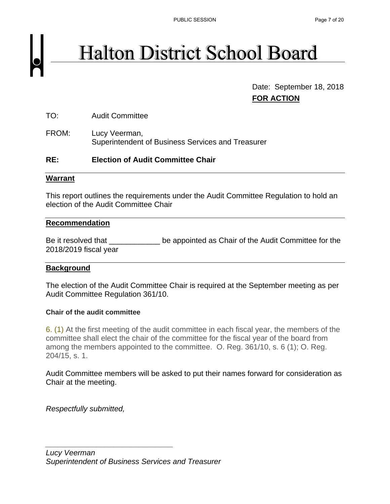# **Halton District School Board**

 Date: September 18, 2018 **FOR ACTION**

TO: Audit Committee

FROM: Lucy Veerman, Superintendent of Business Services and Treasurer

#### **RE: Election of Audit Committee Chair**

#### **Warrant**

This report outlines the requirements under the Audit Committee Regulation to hold an election of the Audit Committee Chair

#### **Recommendation**

Be it resolved that \_\_\_\_\_\_\_\_\_\_\_\_\_\_ be appointed as Chair of the Audit Committee for the 2018/2019 fiscal year

#### **Background**

The election of the Audit Committee Chair is required at the September meeting as per Audit Committee Regulation 361/10.

#### **Chair of the audit committee**

6. (1) At the first meeting of the audit committee in each fiscal year, the members of the committee shall elect the chair of the committee for the fiscal year of the board from among the members appointed to the committee. O. Reg. 361/10, s. 6 (1); O. Reg. 204/15, s. 1.

Audit Committee members will be asked to put their names forward for consideration as Chair at the meeting.

*Respectfully submitted,* 

*\_\_\_\_\_\_\_\_\_\_\_\_\_\_\_\_\_\_\_\_\_\_\_\_\_\_\_\_\_\_*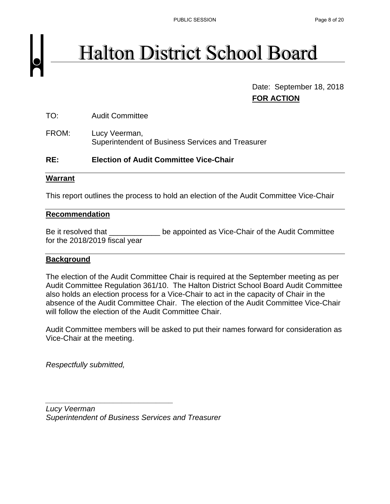# **Halton District School Board**

 Date: September 18, 2018 **FOR ACTION**

TO: Audit Committee

FROM: Lucy Veerman, Superintendent of Business Services and Treasurer

#### **RE: Election of Audit Committee Vice-Chair**

#### **Warrant**

This report outlines the process to hold an election of the Audit Committee Vice-Chair

#### **Recommendation**

Be it resolved that be appointed as Vice-Chair of the Audit Committee for the 2018/2019 fiscal year

#### **Background**

The election of the Audit Committee Chair is required at the September meeting as per Audit Committee Regulation 361/10. The Halton District School Board Audit Committee also holds an election process for a Vice-Chair to act in the capacity of Chair in the absence of the Audit Committee Chair. The election of the Audit Committee Vice-Chair will follow the election of the Audit Committee Chair.

Audit Committee members will be asked to put their names forward for consideration as Vice-Chair at the meeting.

*Respectfully submitted,* 

*Lucy Veerman Superintendent of Business Services and Treasurer* 

*\_\_\_\_\_\_\_\_\_\_\_\_\_\_\_\_\_\_\_\_\_\_\_\_\_\_\_\_\_\_*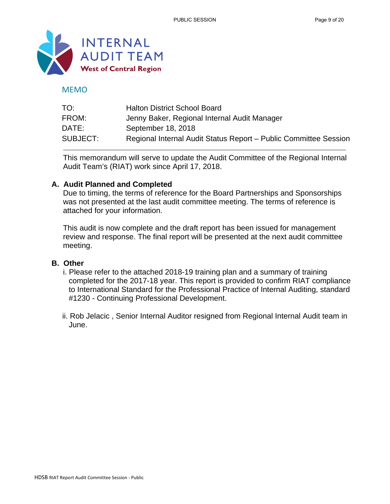

#### MEMO

| TO:      | <b>Halton District School Board</b>                              |
|----------|------------------------------------------------------------------|
| FROM:    | Jenny Baker, Regional Internal Audit Manager                     |
| DATE:    | September 18, 2018                                               |
| SUBJECT: | Regional Internal Audit Status Report - Public Committee Session |

This memorandum will serve to update the Audit Committee of the Regional Internal Audit Team's (RIAT) work since April 17, 2018.

#### **A. Audit Planned and Completed**

Due to timing, the terms of reference for the Board Partnerships and Sponsorships was not presented at the last audit committee meeting. The terms of reference is attached for your information.

This audit is now complete and the draft report has been issued for management review and response. The final report will be presented at the next audit committee meeting.

#### **B. Other**

- i. Please refer to the attached 2018-19 training plan and a summary of training completed for the 2017-18 year. This report is provided to confirm RIAT compliance to International Standard for the Professional Practice of Internal Auditing, standard #1230 - Continuing Professional Development.
- ii. Rob Jelacic , Senior Internal Auditor resigned from Regional Internal Audit team in June.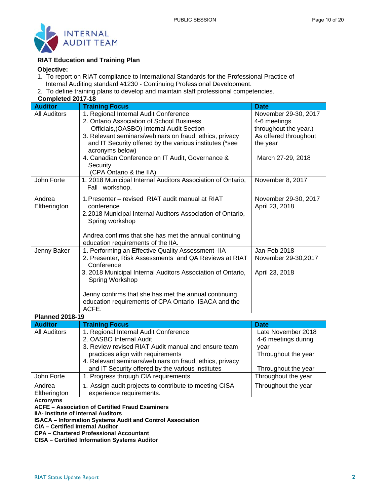

#### **RIAT Education and Training Plan**

#### **Objective:**

- 1. To report on RIAT compliance to International Standards for the Professional Practice of Internal Auditing standard #1230 - Continuing Professional Development.
- 2. To define training plans to develop and maintain staff professional competencies.

| Completed 2017-18      |                                                                                                                                                                                                                                                                                                                                                                     |                                                                                                                         |
|------------------------|---------------------------------------------------------------------------------------------------------------------------------------------------------------------------------------------------------------------------------------------------------------------------------------------------------------------------------------------------------------------|-------------------------------------------------------------------------------------------------------------------------|
| <b>Auditor</b>         | <b>Training Focus</b>                                                                                                                                                                                                                                                                                                                                               | <b>Date</b>                                                                                                             |
| <b>All Auditors</b>    | 1. Regional Internal Audit Conference<br>2. Ontario Association of School Business<br>Officials, (OASBO) Internal Audit Section<br>3. Relevant seminars/webinars on fraud, ethics, privacy<br>and IT Security offered by the various institutes (*see<br>acronyms below)<br>4. Canadian Conference on IT Audit, Governance &<br>Security<br>(CPA Ontario & the IIA) | November 29-30, 2017<br>4-6 meetings<br>throughout the year.)<br>As offered throughout<br>the year<br>March 27-29, 2018 |
| John Forte             | 1. 2018 Municipal Internal Auditors Association of Ontario,<br>Fall workshop.                                                                                                                                                                                                                                                                                       | November 8, 2017                                                                                                        |
| Andrea<br>Eltherington | 1. Presenter – revised RIAT audit manual at RIAT<br>conference<br>2.2018 Municipal Internal Auditors Association of Ontario,<br>Spring workshop<br>Andrea confirms that she has met the annual continuing<br>education requirements of the IIA.                                                                                                                     | November 29-30, 2017<br>April 23, 2018                                                                                  |
| Jenny Baker            | 1. Performing an Effective Quality Assessment - IIA<br>2. Presenter, Risk Assessments and QA Reviews at RIAT<br>Conference<br>3. 2018 Municipal Internal Auditors Association of Ontario,<br>Spring Workshop<br>Jenny confirms that she has met the annual continuing<br>education requirements of CPA Ontario, ISACA and the<br>ACFE.                              | Jan-Feb 2018<br>November 29-30, 2017<br>April 23, 2018                                                                  |
| <b>Planned 2018-19</b> |                                                                                                                                                                                                                                                                                                                                                                     |                                                                                                                         |

| Fiann <del>c</del> u Zulu-I <i>a</i> |                                                                                                                                                     |                                           |
|--------------------------------------|-----------------------------------------------------------------------------------------------------------------------------------------------------|-------------------------------------------|
| <b>Auditor</b>                       | <b>Training Focus</b>                                                                                                                               | <b>Date</b>                               |
| <b>All Auditors</b>                  | 1. Regional Internal Audit Conference<br>2. OASBO Internal Audit                                                                                    | Late November 2018<br>4-6 meetings during |
|                                      | 3. Review revised RIAT Audit manual and ensure team<br>practices align with requirements<br>4. Relevant seminars/webinars on fraud, ethics, privacy | year<br>Throughout the year               |
|                                      | and IT Security offered by the various institutes                                                                                                   | Throughout the year                       |
| John Forte                           | 1. Progress through CIA requirements                                                                                                                | Throughout the year                       |
| Andrea<br>Eltherington               | 1. Assign audit projects to contribute to meeting CISA<br>experience requirements.                                                                  | Throughout the year                       |

**Acronyms** 

**ACFE – Association of Certified Fraud Examiners** 

**IIA- Institute of Internal Auditors** 

**ISACA – Information Systems Audit and Control Association** 

**CIA – Certified Internal Auditor** 

**CPA – Chartered Professional Accountant** 

**CISA – Certified Information Systems Auditor**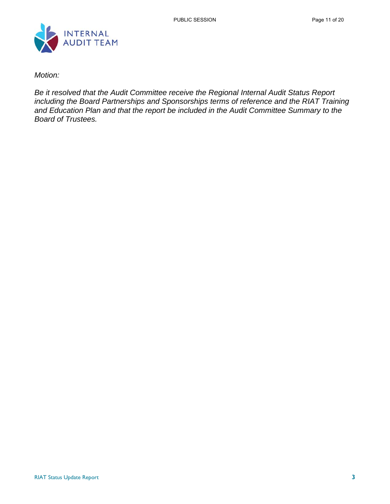

*Motion:* 

*Be it resolved that the Audit Committee receive the Regional Internal Audit Status Report including the Board Partnerships and Sponsorships terms of reference and the RIAT Training and Education Plan and that the report be included in the Audit Committee Summary to the Board of Trustees.*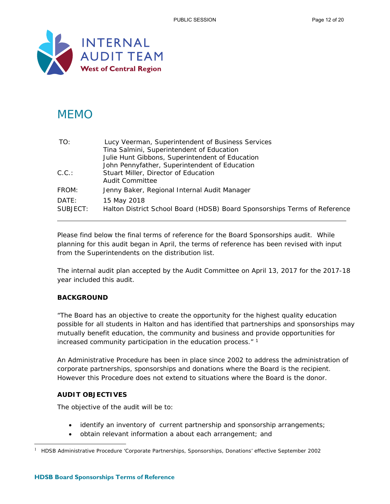

# **MEMO**

| TO:      | Lucy Veerman, Superintendent of Business Services                         |
|----------|---------------------------------------------------------------------------|
|          | Tina Salmini, Superintendent of Education                                 |
|          | Julie Hunt Gibbons, Superintendent of Education                           |
|          | John Pennyfather, Superintendent of Education                             |
| C.C.:    | Stuart Miller, Director of Education                                      |
|          | Audit Committee                                                           |
| FROM:    | Jenny Baker, Regional Internal Audit Manager                              |
| DATF:    | 15 May 2018                                                               |
| SUBJECT: | Halton District School Board (HDSB) Board Sponsorships Terms of Reference |
|          |                                                                           |

Please find below the final terms of reference for the Board Sponsorships audit. While planning for this audit began in April, the terms of reference has been revised with input from the Superintendents on the distribution list.

The internal audit plan accepted by the Audit Committee on April 13, 2017 for the 2017-18 year included this audit.

#### **BACKGROUND**

"The Board has an objective to create the opportunity for the highest quality education possible for all students in Halton and has identified that partnerships and sponsorships may mutually benefit education, the community and business and provide opportunities for increased community participation in the education process."<sup>1</sup>

An Administrative Procedure has been in place since 2002 to address the administration of corporate partnerships, sponsorships and donations where the Board is the recipient. However this Procedure does not extend to situations where the Board is the donor.

#### **AUDIT OBJECTIVES**

-

The objective of the audit will be to:

- identify an inventory of current partnership and sponsorship arrangements;
- obtain relevant information a about each arrangement; and

<sup>1</sup> HDSB Administrative Procedure 'Corporate Partnerships, Sponsorships, Donations' effective September 2002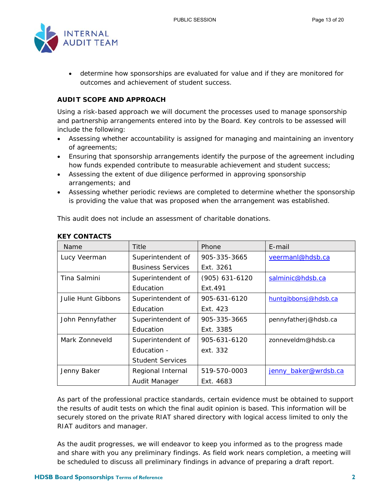

 determine how sponsorships are evaluated for value and if they are monitored for outcomes and achievement of student success.

#### **AUDIT SCOPE AND APPROACH**

Using a risk-based approach we will document the processes used to manage sponsorship and partnership arrangements entered into by the Board. Key controls to be assessed will include the following:

- Assessing whether accountability is assigned for managing and maintaining an inventory of agreements;
- Ensuring that sponsorship arrangements identify the purpose of the agreement including how funds expended contribute to measurable achievement and student success;
- Assessing the extent of due diligence performed in approving sponsorship arrangements; and
- Assessing whether periodic reviews are completed to determine whether the sponsorship is providing the value that was proposed when the arrangement was established.

This audit does not include an assessment of charitable donations.

| Name               | Title                    | Phone            | E-mail               |
|--------------------|--------------------------|------------------|----------------------|
| Lucy Veerman       | Superintendent of        | 905-335-3665     | veermanl@hdsb.ca     |
|                    | <b>Business Services</b> | Ext. 3261        |                      |
| Tina Salmini       | Superintendent of        | $(905)$ 631-6120 | salminic@hdsb.ca     |
|                    | Education                | Ext.491          |                      |
| Julie Hunt Gibbons | Superintendent of        | 905-631-6120     | huntqibbonsj@hdsb.ca |
|                    | Education                | Ext. 423         |                      |
| John Pennyfather   | Superintendent of        | 905-335-3665     | pennyfatherj@hdsb.ca |
|                    | Education                | Ext. 3385        |                      |
| Mark Zonneveld     | Superintendent of        | 905-631-6120     | zonneveldm@hdsb.ca   |
|                    | Education -              | ext. 332         |                      |
|                    | <b>Student Services</b>  |                  |                      |
| Jenny Baker        | Regional Internal        | 519-570-0003     | jenny_baker@wrdsb.ca |
|                    | Audit Manager            | Ext. 4683        |                      |

#### **KEY CONTACTS**

As part of the professional practice standards, certain evidence must be obtained to support the results of audit tests on which the final audit opinion is based. This information will be securely stored on the private RIAT shared directory with logical access limited to only the RIAT auditors and manager.

As the audit progresses, we will endeavor to keep you informed as to the progress made and share with you any preliminary findings. As field work nears completion, a meeting will be scheduled to discuss all preliminary findings in advance of preparing a draft report.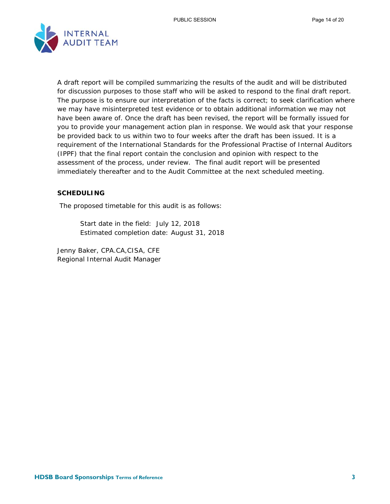

A draft report will be compiled summarizing the results of the audit and will be distributed for discussion purposes to those staff who will be asked to respond to the final draft report. The purpose is to ensure our interpretation of the facts is correct; to seek clarification where we may have misinterpreted test evidence or to obtain additional information we may not have been aware of. Once the draft has been revised, the report will be formally issued for you to provide your management action plan in response. We would ask that your response be provided back to us within two to four weeks after the draft has been issued. It is a requirement of the International Standards for the Professional Practise of Internal Auditors (IPPF) that the final report contain the conclusion and opinion with respect to the assessment of the process, under review. The final audit report will be presented immediately thereafter and to the Audit Committee at the next scheduled meeting.

#### **SCHEDULING**

The proposed timetable for this audit is as follows:

 Start date in the field: July 12, 2018 Estimated completion date: August 31, 2018

Jenny Baker, CPA.CA,CISA, CFE Regional Internal Audit Manager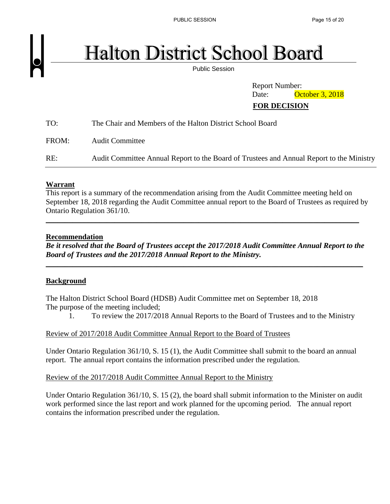PUBLIC SESSION PUBLIC SESSION

# **Halton District School Board**

Public Session

 Report Number: Date: **October 3, 2018 FOR DECISION** 

| TO:   | The Chair and Members of the Halton District School Board                                |
|-------|------------------------------------------------------------------------------------------|
| FROM: | <b>Audit Committee</b>                                                                   |
| RE:   | Audit Committee Annual Report to the Board of Trustees and Annual Report to the Ministry |

#### **Warrant**

This report is a summary of the recommendation arising from the Audit Committee meeting held on September 18, 2018 regarding the Audit Committee annual report to the Board of Trustees as required by Ontario Regulation 361/10.

\_\_\_\_\_\_\_\_\_\_\_\_\_\_\_\_\_\_\_\_\_\_\_\_\_\_\_\_\_\_\_\_\_\_\_\_\_\_\_\_\_\_\_\_\_\_\_\_\_\_\_\_\_\_\_\_\_\_\_\_\_\_\_\_\_\_\_\_\_\_\_\_\_\_\_\_\_\_\_\_\_\_

#### **Recommendation**

*Be it resolved that the Board of Trustees accept the 2017/2018 Audit Committee Annual Report to the Board of Trustees and the 2017/2018 Annual Report to the Ministry.* 

\_\_\_\_\_\_\_\_\_\_\_\_\_\_\_\_\_\_\_\_\_\_\_\_\_\_\_\_\_\_\_\_\_\_\_\_\_\_\_\_\_\_\_\_\_\_\_\_\_\_\_\_\_\_\_\_\_\_\_\_\_\_\_\_\_\_\_\_\_\_\_\_\_\_\_\_\_\_\_\_\_\_\_

#### **Background**

The Halton District School Board (HDSB) Audit Committee met on September 18, 2018 The purpose of the meeting included;

1. To review the 2017/2018 Annual Reports to the Board of Trustees and to the Ministry

Review of 2017/2018 Audit Committee Annual Report to the Board of Trustees

Under Ontario Regulation 361/10, S. 15 (1), the Audit Committee shall submit to the board an annual report. The annual report contains the information prescribed under the regulation.

Review of the 2017/2018 Audit Committee Annual Report to the Ministry

Under Ontario Regulation 361/10, S. 15 (2), the board shall submit information to the Minister on audit work performed since the last report and work planned for the upcoming period. The annual report contains the information prescribed under the regulation.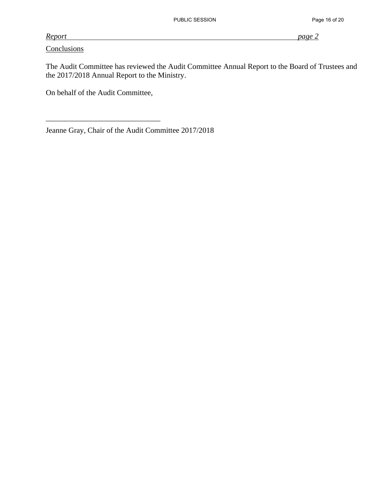#### *Report page 2*

**Conclusions** 

The Audit Committee has reviewed the Audit Committee Annual Report to the Board of Trustees and the 2017/2018 Annual Report to the Ministry.

On behalf of the Audit Committee,

\_\_\_\_\_\_\_\_\_\_\_\_\_\_\_\_\_\_\_\_\_\_\_\_\_\_\_\_\_\_

Jeanne Gray, Chair of the Audit Committee 2017/2018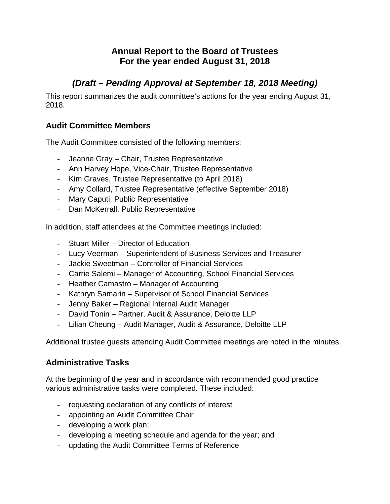# **Annual Report to the Board of Trustees For the year ended August 31, 2018**

# *(Draft – Pending Approval at September 18, 2018 Meeting)*

This report summarizes the audit committee's actions for the year ending August 31, 2018.

# **Audit Committee Members**

The Audit Committee consisted of the following members:

- Jeanne Gray Chair, Trustee Representative
- Ann Harvey Hope, Vice-Chair, Trustee Representative
- Kim Graves, Trustee Representative (to April 2018)
- Amy Collard, Trustee Representative (effective September 2018)
- Mary Caputi, Public Representative
- Dan McKerrall, Public Representative

In addition, staff attendees at the Committee meetings included:

- Stuart Miller Director of Education
- Lucy Veerman Superintendent of Business Services and Treasurer
- Jackie Sweetman Controller of Financial Services
- Carrie Salemi Manager of Accounting, School Financial Services
- Heather Camastro Manager of Accounting
- Kathryn Samarin Supervisor of School Financial Services
- Jenny Baker Regional Internal Audit Manager
- David Tonin Partner, Audit & Assurance, Deloitte LLP
- Lilian Cheung Audit Manager, Audit & Assurance, Deloitte LLP

Additional trustee guests attending Audit Committee meetings are noted in the minutes.

## **Administrative Tasks**

At the beginning of the year and in accordance with recommended good practice various administrative tasks were completed. These included:

- requesting declaration of any conflicts of interest
- appointing an Audit Committee Chair
- developing a work plan;
- developing a meeting schedule and agenda for the year; and
- updating the Audit Committee Terms of Reference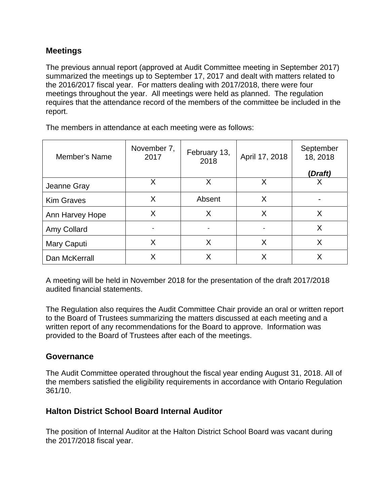#### **Meetings**

The previous annual report (approved at Audit Committee meeting in September 2017) summarized the meetings up to September 17, 2017 and dealt with matters related to the 2016/2017 fiscal year. For matters dealing with 2017/2018, there were four meetings throughout the year. All meetings were held as planned. The regulation requires that the attendance record of the members of the committee be included in the report.

Member's Name November 7,  $\begin{array}{c|c}\n 2017 & \text{February 13,} \\
& 2018\n\end{array}$ <sup>2018</sup>April 17, 2018 **September** 18, 2018 **(***Draft)* Jeanne Gray X X X X Kim Graves  $\vert$  X  $\vert$  Absent  $\vert$  X  $\vert$  -Ann Harvey Hope  $\begin{vmatrix} x & y \\ x & y \end{vmatrix}$  X  $\begin{vmatrix} x & y \\ x & y \end{vmatrix}$  X  $\begin{vmatrix} x & y \\ x & y \end{vmatrix}$ Amy Collard - - - X Mary Caputi  $\begin{vmatrix} x & 1 & 1 \\ 1 & x & 1 \end{vmatrix}$  X  $\begin{vmatrix} x & 1 & 1 \\ 1 & x & 1 \end{vmatrix}$  X Dan McKerrall X X X X

The members in attendance at each meeting were as follows:

A meeting will be held in November 2018 for the presentation of the draft 2017/2018 audited financial statements.

The Regulation also requires the Audit Committee Chair provide an oral or written report to the Board of Trustees summarizing the matters discussed at each meeting and a written report of any recommendations for the Board to approve. Information was provided to the Board of Trustees after each of the meetings.

#### **Governance**

The Audit Committee operated throughout the fiscal year ending August 31, 2018. All of the members satisfied the eligibility requirements in accordance with Ontario Regulation 361/10.

#### **Halton District School Board Internal Auditor**

The position of Internal Auditor at the Halton District School Board was vacant during the 2017/2018 fiscal year.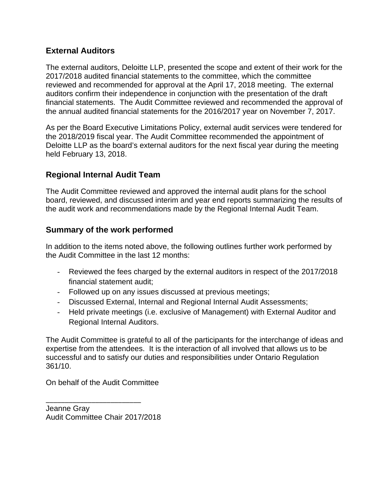#### **External Auditors**

The external auditors, Deloitte LLP, presented the scope and extent of their work for the 2017/2018 audited financial statements to the committee, which the committee reviewed and recommended for approval at the April 17, 2018 meeting. The external auditors confirm their independence in conjunction with the presentation of the draft financial statements. The Audit Committee reviewed and recommended the approval of the annual audited financial statements for the 2016/2017 year on November 7, 2017.

As per the Board Executive Limitations Policy, external audit services were tendered for the 2018/2019 fiscal year. The Audit Committee recommended the appointment of Deloitte LLP as the board's external auditors for the next fiscal year during the meeting held February 13, 2018.

## **Regional Internal Audit Team**

The Audit Committee reviewed and approved the internal audit plans for the school board, reviewed, and discussed interim and year end reports summarizing the results of the audit work and recommendations made by the Regional Internal Audit Team.

## **Summary of the work performed**

In addition to the items noted above, the following outlines further work performed by the Audit Committee in the last 12 months:

- Reviewed the fees charged by the external auditors in respect of the 2017/2018 financial statement audit;
- Followed up on any issues discussed at previous meetings;
- Discussed External, Internal and Regional Internal Audit Assessments;
- Held private meetings (i.e. exclusive of Management) with External Auditor and Regional Internal Auditors.

The Audit Committee is grateful to all of the participants for the interchange of ideas and expertise from the attendees. It is the interaction of all involved that allows us to be successful and to satisfy our duties and responsibilities under Ontario Regulation 361/10.

On behalf of the Audit Committee

Jeanne Gray Audit Committee Chair 2017/2018

\_\_\_\_\_\_\_\_\_\_\_\_\_\_\_\_\_\_\_\_\_\_\_\_\_